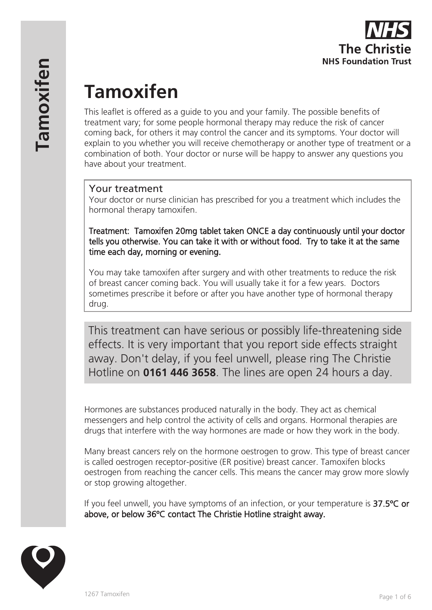

# **Tamoxifen**

This leaflet is offered as a guide to you and your family. The possible benefits of treatment vary; for some people hormonal therapy may reduce the risk of cancer coming back, for others it may control the cancer and its symptoms. Your doctor will explain to you whether you will receive chemotherapy or another type of treatment or a combination of both. Your doctor or nurse will be happy to answer any questions you have about your treatment.

## Your treatment

Your doctor or nurse clinician has prescribed for you a treatment which includes the hormonal therapy tamoxifen.

Treatment: Tamoxifen 20mg tablet taken ONCE a day continuously until your doctor tells you otherwise. You can take it with or without food. Try to take it at the same time each day, morning or evening.

You may take tamoxifen after surgery and with other treatments to reduce the risk of breast cancer coming back. You will usually take it for a few years. Doctors sometimes prescribe it before or after you have another type of hormonal therapy drug.

This treatment can have serious or possibly life-threatening side effects. It is very important that you report side effects straight away. Don't delay, if you feel unwell, please ring The Christie Hotline on **0161 446 3658**. The lines are open 24 hours a day.

Hormones are substances produced naturally in the body. They act as chemical messengers and help control the activity of cells and organs. Hormonal therapies are drugs that interfere with the way hormones are made or how they work in the body.

Many breast cancers rely on the hormone oestrogen to grow. This type of breast cancer is called oestrogen receptor-positive (ER positive) breast cancer. Tamoxifen blocks oestrogen from reaching the cancer cells. This means the cancer may grow more slowly or stop growing altogether.

If you feel unwell, you have symptoms of an infection, or your temperature is 37.5°C or above, or below 36ºC contact The Christie Hotline straight away.

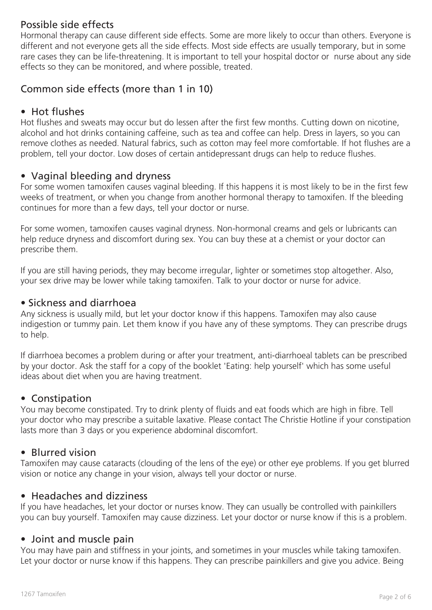# Possible side effects

Hormonal therapy can cause different side effects. Some are more likely to occur than others. Everyone is different and not everyone gets all the side effects. Most side effects are usually temporary, but in some rare cases they can be life-threatening. It is important to tell your hospital doctor or nurse about any side effects so they can be monitored, and where possible, treated.

# Common side effects (more than 1 in 10)

## • Hot flushes

Hot flushes and sweats may occur but do lessen after the first few months. Cutting down on nicotine, alcohol and hot drinks containing caffeine, such as tea and coffee can help. Dress in layers, so you can remove clothes as needed. Natural fabrics, such as cotton may feel more comfortable. If hot flushes are a problem, tell your doctor. Low doses of certain antidepressant drugs can help to reduce flushes.

# • Vaginal bleeding and dryness

For some women tamoxifen causes vaginal bleeding. If this happens it is most likely to be in the first few weeks of treatment, or when you change from another hormonal therapy to tamoxifen. If the bleeding continues for more than a few days, tell your doctor or nurse.

For some women, tamoxifen causes vaginal dryness. Non-hormonal creams and gels or lubricants can help reduce dryness and discomfort during sex. You can buy these at a chemist or your doctor can prescribe them.

If you are still having periods, they may become irregular, lighter or sometimes stop altogether. Also, your sex drive may be lower while taking tamoxifen. Talk to your doctor or nurse for advice.

### • Sickness and diarrhoea

Any sickness is usually mild, but let your doctor know if this happens. Tamoxifen may also cause indigestion or tummy pain. Let them know if you have any of these symptoms. They can prescribe drugs to help.

If diarrhoea becomes a problem during or after your treatment, anti-diarrhoeal tablets can be prescribed by your doctor. Ask the staff for a copy of the booklet 'Eating: help yourself' which has some useful ideas about diet when you are having treatment.

## • Constipation

You may become constipated. Try to drink plenty of fluids and eat foods which are high in fibre. Tell your doctor who may prescribe a suitable laxative. Please contact The Christie Hotline if your constipation lasts more than 3 days or you experience abdominal discomfort.

## • Blurred vision

Tamoxifen may cause cataracts (clouding of the lens of the eye) or other eye problems. If you get blurred vision or notice any change in your vision, always tell your doctor or nurse.

#### • Headaches and dizziness

If you have headaches, let your doctor or nurses know. They can usually be controlled with painkillers you can buy yourself. Tamoxifen may cause dizziness. Let your doctor or nurse know if this is a problem.

#### • Joint and muscle pain

You may have pain and stiffness in your joints, and sometimes in your muscles while taking tamoxifen. Let your doctor or nurse know if this happens. They can prescribe painkillers and give you advice. Being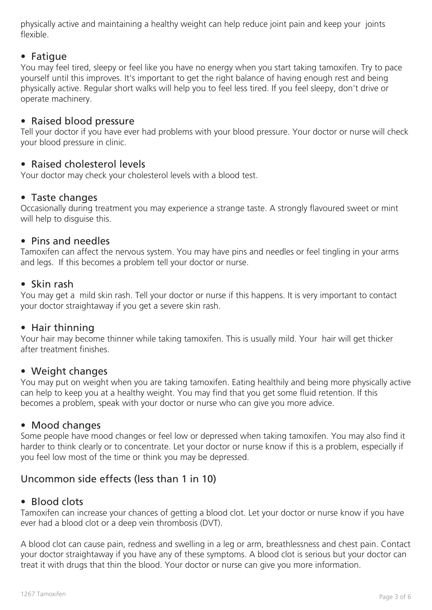physically active and maintaining a healthy weight can help reduce joint pain and keep your joints flexible.

## • Fatigue

You may feel tired, sleepy or feel like you have no energy when you start taking tamoxifen. Try to pace yourself until this improves. It's important to get the right balance of having enough rest and being physically active. Regular short walks will help you to feel less tired. If you feel sleepy, don't drive or operate machinery.

#### • Raised blood pressure

Tell your doctor if you have ever had problems with your blood pressure. Your doctor or nurse will check your blood pressure in clinic.

#### • Raised cholesterol levels

Your doctor may check your cholesterol levels with a blood test.

#### • Taste changes

Occasionally during treatment you may experience a strange taste. A strongly flavoured sweet or mint will help to disquise this.

#### • Pins and needles

Tamoxifen can affect the nervous system. You may have pins and needles or feel tingling in your arms and legs. If this becomes a problem tell your doctor or nurse.

#### • Skin rash

You may get a mild skin rash. Tell your doctor or nurse if this happens. It is very important to contact your doctor straightaway if you get a severe skin rash.

#### • Hair thinning

Your hair may become thinner while taking tamoxifen. This is usually mild. Your hair will get thicker after treatment finishes.

#### • Weight changes

You may put on weight when you are taking tamoxifen. Eating healthily and being more physically active can help to keep you at a healthy weight. You may find that you get some fluid retention. If this becomes a problem, speak with your doctor or nurse who can give you more advice.

#### • Mood changes

Some people have mood changes or feel low or depressed when taking tamoxifen. You may also find it harder to think clearly or to concentrate. Let your doctor or nurse know if this is a problem, especially if you feel low most of the time or think you may be depressed.

# Uncommon side effects (less than 1 in 10)

#### • Blood clots

Tamoxifen can increase your chances of getting a blood clot. Let your doctor or nurse know if you have ever had a blood clot or a deep vein thrombosis (DVT).

A blood clot can cause pain, redness and swelling in a leg or arm, breathlessness and chest pain. Contact your doctor straightaway if you have any of these symptoms. A blood clot is serious but your doctor can treat it with drugs that thin the blood. Your doctor or nurse can give you more information.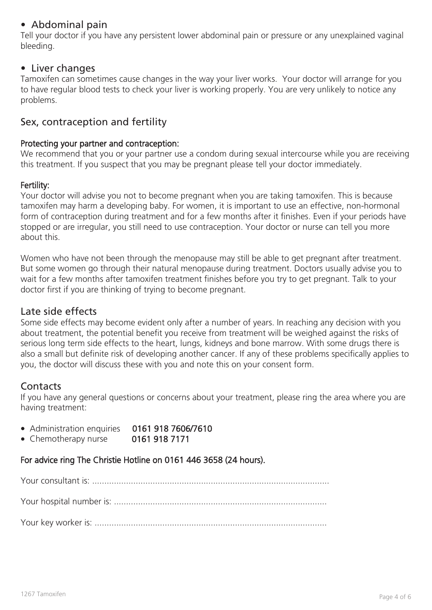# • Abdominal pain

Tell your doctor if you have any persistent lower abdominal pain or pressure or any unexplained vaginal bleeding.

#### • Liver changes

Tamoxifen can sometimes cause changes in the way your liver works. Your doctor will arrange for you to have regular blood tests to check your liver is working properly. You are very unlikely to notice any problems.

# Sex, contraception and fertility

#### Protecting your partner and contraception:

We recommend that you or your partner use a condom during sexual intercourse while you are receiving this treatment. If you suspect that you may be pregnant please tell your doctor immediately.

#### Fertility:

Your doctor will advise you not to become pregnant when you are taking tamoxifen. This is because tamoxifen may harm a developing baby. For women, it is important to use an effective, non-hormonal form of contraception during treatment and for a few months after it finishes. Even if your periods have stopped or are irregular, you still need to use contraception. Your doctor or nurse can tell you more about this.

Women who have not been through the menopause may still be able to get pregnant after treatment. But some women go through their natural menopause during treatment. Doctors usually advise you to wait for a few months after tamoxifen treatment finishes before you try to get pregnant. Talk to your doctor first if you are thinking of trying to become pregnant.

#### Late side effects

Some side effects may become evident only after a number of years. In reaching any decision with you about treatment, the potential benefit you receive from treatment will be weighed against the risks of serious long term side effects to the heart, lungs, kidneys and bone marrow. With some drugs there is also a small but definite risk of developing another cancer. If any of these problems specifically applies to you, the doctor will discuss these with you and note this on your consent form.

## **Contacts**

If you have any general questions or concerns about your treatment, please ring the area where you are having treatment:

- Administration enquiries 0161 918 7606/7610
- Chemotherapy nurse 0161 918 7171

# For advice ring The Christie Hotline on 0161 446 3658 (24 hours).

Your consultant is: ..................................................................................................

Your hospital number is: ........................................................................................

Your key worker is: ................................................................................................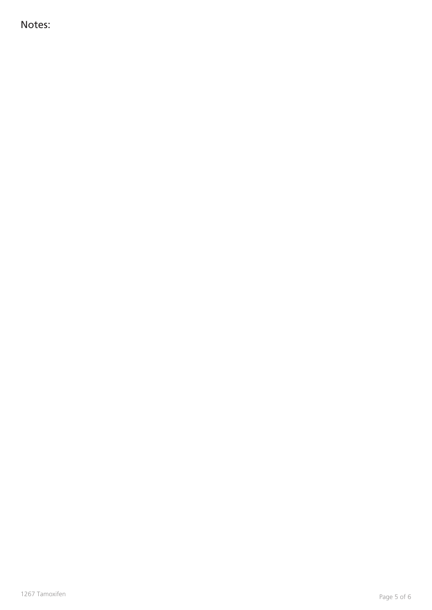Notes: